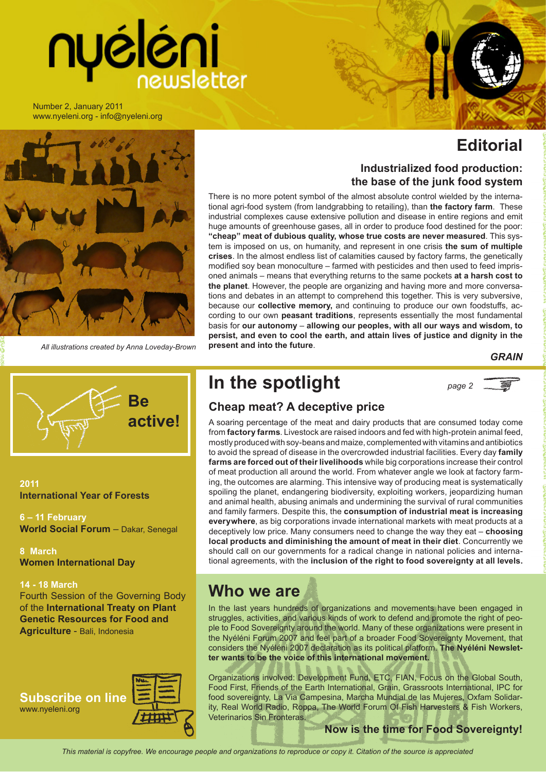# nyéléni

Number 2, January 2011 www.nyeleni.org - info@nyeleni.org

# **Editorial**

*All illustrations created by Anna Loveday-Brown*

# **Industrialized food production: the base of the junk food system**

There is no more potent symbol of the almost absolute control wielded by the international agri-food system (from landgrabbing to retailing), than **the factory farm**. These industrial complexes cause extensive pollution and disease in entire regions and emit huge amounts of greenhouse gases, all in order to produce food destined for the poor: **"cheap" meat of dubious quality, whose true costs are never measured**. This system is imposed on us, on humanity, and represent in one crisis **the sum of multiple crises**. In the almost endless list of calamities caused by factory farms, the genetically modified soy bean monoculture – farmed with pesticides and then used to feed imprisoned animals – means that everything returns to the same pockets **at a harsh cost to the planet**. However, the people are organizing and having more and more conversations and debates in an attempt to comprehend this together. This is very subversive, because our **collective memory,** and continuing to produce our own foodstuffs, according to our own **peasant traditions**, represents essentially the most fundamental basis for **our autonomy** – **allowing our peoples, with all our ways and wisdom, to persist, and even to cool the earth, and attain lives of justice and dignity in the present and into the future**.

*GRAIN*



**2011 International Year of Forests** 

**6 – 11 February World Social Forum** – Dakar, Senegal

**8 March Women International Day**

### **14 - 18 March**

Fourth Session of the Governing Body of the **International Treaty on Plant Genetic Resources for Food and Agriculture** - Bali, Indonesia





# **In the spotlight** *page 2*



# **Cheap meat? A deceptive price**

A soaring percentage of the meat and dairy products that are consumed today come from **factory farms**. Livestock are raised indoors and fed with high-protein animal feed, mostly produced with soy-beans and maize, complemented with vitamins and antibiotics to avoid the spread of disease in the overcrowded industrial facilities. Every day **family farms are forced out of their livelihoods** while big corporations increase their control of meat production all around the world. From whatever angle we look at factory farming, the outcomes are alarming. This intensive way of producing meat is systematically spoiling the planet, endangering biodiversity, exploiting workers, jeopardizing human and animal health, abusing animals and undermining the survival of rural communities and family farmers. Despite this, the **consumption of industrial meat is increasing everywhere**, as big corporations invade international markets with meat products at a deceptively low price. Many consumers need to change the way they eat – **choosing local products and diminishing the amount of meat in their diet**. Concurrently we should call on our governments for a radical change in national policies and international agreements, with the **inclusion of the right to food sovereignty at all levels.**

# **Who we are**

In the last years hundreds of organizations and movements have been engaged in struggles, activities, and various kinds of work to defend and promote the right of people to Food Sovereignty around the world. Many of these organizations were present in the Nyéléni Forum 2007 and feel part of a broader Food Sovereignty Movement, that considers the Nyéléni 2007 declaration as its political platform. **The Nyéléni Newsletter wants to be the voice of this international movement.**

Organizations involved: Development Fund, ETC, FIAN, Focus on the Global South, Food First, Friends of the Earth International, Grain, Grassroots International, IPC for food sovereignty, La Via Campesina, Marcha Mundial de las Mujeres, Oxfam Solidarity, Real World Radio, Roppa, The World Forum Of Fish Harvesters & Fish Workers, Veterinarios Sin Fronteras.

# **Now is the time for Food Sovereignty!**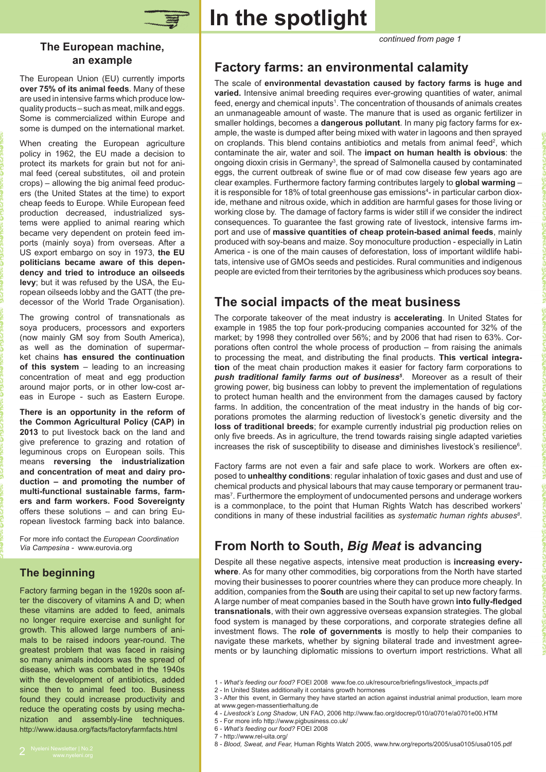

### **The European machine, an example**

The European Union (EU) currently imports **over 75% of its animal feeds**. Many of these are used in intensive farms which produce lowquality products – such as meat, milk and eggs. Some is commercialized within Europe and some is dumped on the international market.

When creating the European agriculture policy in 1962, the EU made a decision to protect its markets for grain but not for animal feed (cereal substitutes, oil and protein crops) – allowing the big animal feed producers (the United States at the time) to export cheap feeds to Europe. While European feed production decreased, industrialized systems were applied to animal rearing which became very dependent on protein feed imports (mainly soya) from overseas. After a US export embargo on soy in 1973, **the EU politicians became aware of this dependency and tried to introduce an oilseeds levy**; but it was refused by the USA, the European oilseeds lobby and the GATT (the predecessor of the World Trade Organisation).

The growing control of transnationals as soya producers, processors and exporters (now mainly GM soy from South America), as well as the domination of supermarket chains **has ensured the continuation of this system** – leading to an increasing concentration of meat and egg production around major ports, or in other low-cost areas in Europe - such as Eastern Europe.

**There is an opportunity in the reform of the Common Agricultural Policy (CAP) in 2013** to put livestock back on the land and give preference to grazing and rotation of leguminous crops on European soils. This means **reversing the industrialization and concentration of meat and dairy production – and promoting the number of multi-functional sustainable farms, farmers and farm workers. Food Sovereignty**  offers these solutions – and can bring European livestock farming back into balance.

For more info contact the *European Coordination Via Campesina -* www.eurovia.org

### **The beginning**

Factory farming began in the 1920s soon after the discovery of vitamins A and D; when these vitamins are added to feed, animals no longer require exercise and sunlight for growth. This allowed large numbers of animals to be raised indoors year-round. The greatest problem that was faced in raising so many animals indoors was the spread of disease, which was combated in the 1940s with the development of antibiotics, added since then to animal feed too. Business found they could increase productivity and reduce the operating costs by using mechanization and assembly-line techniques. http://www.idausa.org/facts/factoryfarmfacts.html



*continued from page 1*

# **Factory farms: an environmental calamity**

The scale of **environmental devastation caused by factory farms is huge and varied.** Intensive animal breeding requires ever-growing quantities of water, animal feed, energy and chemical inputs<sup>1</sup>. The concentration of thousands of animals creates an unmanageable amount of waste. The manure that is used as organic fertilizer in smaller holdings, becomes a **dangerous pollutant**. In many pig factory farms for example, the waste is dumped after being mixed with water in lagoons and then sprayed on croplands. This blend contains antibiotics and metals from animal feed<sup>2</sup>, which contaminate the air, water and soil. The **impact on human health is obvious**: the ongoing dioxin crisis in Germany<sup>3</sup>, the spread of Salmonella caused by contaminated eggs, the current outbreak of swine flue or of mad cow disease few years ago are clear examples. Furthermore factory farming contributes largely to **global warming** – it is responsible for 18% of total greenhouse gas emissions<sup>4</sup>- in particular carbon dioxide, methane and nitrous oxide, which in addition are harmful gases for those living or working close by. The damage of factory farms is wider still if we consider the indirect consequences. To guarantee the fast growing rate of livestock, intensive farms import and use of **massive quantities of cheap protein-based animal feeds**, mainly produced with soy-beans and maize. Soy monoculture production - especially in Latin America - is one of the main causes of deforestation, loss of important wildlife habitats, intensive use of GMOs seeds and pesticides. Rural communities and indigenous people are evicted from their territories by the agribusiness which produces soy beans.

# **The social impacts of the meat business**

The corporate takeover of the meat industry is **accelerating**. In United States for example in 1985 the top four pork-producing companies accounted for 32% of the market; by 1998 they controlled over 56%; and by 2006 that had risen to 63%. Corporations often control the whole process of production – from raising the animals to processing the meat, and distributing the final products. **This vertical integration** of the meat chain production makes it easier for factory farm corporations to *push traditional family farms out of business5* . Moreover as a result of their growing power, big business can lobby to prevent the implementation of regulations to protect human health and the environment from the damages caused by factory farms. In addition, the concentration of the meat industry in the hands of big corporations promotes the alarming reduction of livestock's genetic diversity and the **loss of traditional breeds**; for example currently industrial pig production relies on only five breeds. As in agriculture, the trend towards raising single adapted varieties increases the risk of susceptibility to disease and diminishes livestock's resilience $6$ .

Factory farms are not even a fair and safe place to work. Workers are often exposed to **unhealthy conditions**: regular inhalation of toxic gases and dust and use of chemical products and physical labours that may cause temporary or permanent traumas7 . Furthermore the employment of undocumented persons and underage workers is a commonplace, to the point that Human Rights Watch has described workers' conditions in many of these industrial facilities as *systematic human rights abuses8* .

# **From North to South,** *Big Meat* **is advancing**

Despite all these negative aspects, intensive meat production is **increasing everywhere**. As for many other commodities, big corporations from the North have started moving their businesses to poorer countries where they can produce more cheaply. In addition, companies from the **South** are using their capital to set up new factory farms. A large number of meat companies based in the South have grown **into fully-fledged transnationals**, with their own aggressive overseas expansion strategies. The global food system is managed by these corporations, and corporate strategies define all investment flows. The **role of governments** is mostly to help their companies to navigate these markets, whether by signing bilateral trade and investment agreements or by launching diplomatic missions to overturn import restrictions. What all

2 - In United States additionally it contains growth hormones

5 - For more info http://www.pigbusiness.co.uk/

<sup>1 -</sup> *What's feeding our food?* FOEI 2008 www.foe.co.uk/resource/briefings/livestock\_impacts.pdf

<sup>3 -</sup> After this event, in Germany they have started an action against industrial animal production, learn more at www.gegen-massentierhaltung.de

<sup>4 -</sup> *Livestock's Long Shadow*, UN FAO, 2006 http://www.fao.org/docrep/010/a0701e/a0701e00.HTM

<sup>6 -</sup> *What's feeding our food?* FOEI 2008 7 - http://www.rel-uita.org/

<sup>8 -</sup> *Blood, Sweat, and Fear,* Human Rights Watch 2005, www.hrw.org/reports/2005/usa0105/usa0105.pdf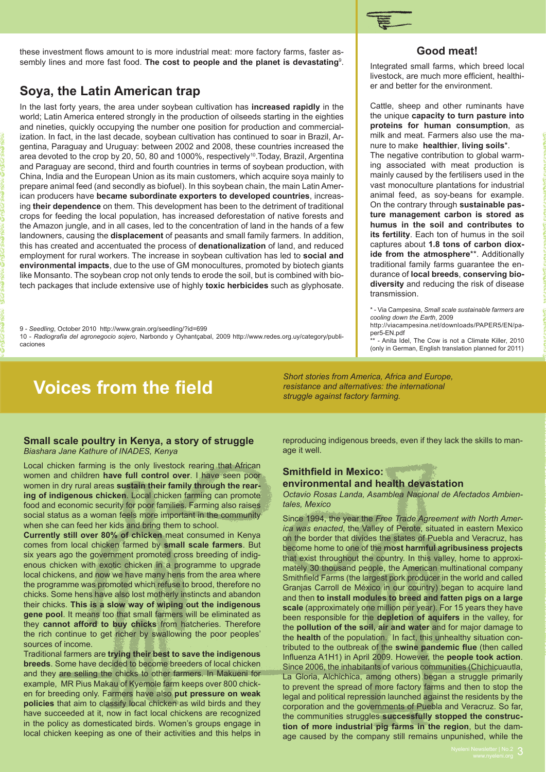these investment flows amount to is more industrial meat: more factory farms, faster assembly lines and more fast food. **The cost to people and the planet is devastating**<sup>9</sup> .

# **Soya, the Latin American trap**

In the last forty years, the area under soybean cultivation has **increased rapidly** in the world; Latin America entered strongly in the production of oilseeds starting in the eighties and nineties, quickly occupying the number one position for production and commercialization. In fact, in the last decade, soybean cultivation has continued to soar in Brazil, Argentina, Paraguay and Uruguay: between 2002 and 2008, these countries increased the area devoted to the crop by 20, 50, 80 and 1000%, respectively<sup>10</sup>. Today, Brazil, Argentina and Paraguay are second, third and fourth countries in terms of soybean production, with China, India and the European Union as its main customers, which acquire soya mainly to prepare animal feed (and secondly as biofuel). In this soybean chain, the main Latin American producers have **became subordinate exporters to developed countries**, increasing **their dependence** on them. This development has been to the detriment of traditional crops for feeding the local population, has increased deforestation of native forests and the Amazon jungle, and in all cases, led to the concentration of land in the hands of a few landowners, causing the **displacement** of peasants and small family farmers. In addition, this has created and accentuated the process of **denationalization** of land, and reduced employment for rural workers. The increase in soybean cultivation has led to **social and environmental impacts**, due to the use of GM monocultures, promoted by biotech giants like Monsanto. The soybean crop not only tends to erode the soil, but is combined with biotech packages that include extensive use of highly **toxic herbicides** such as glyphosate.

10 - *Radiografìa del agronegocio sojero*, Narbondo y Oyhantçabal, 2009 http://www.redes.org.uy/category/publicaciones

**Voices from the field** *Short stories from America, Africa and Europe,*<br> *Short stories from America, Africa and Europe,*<br> *Short stories from America, Africa and Europe, resistance and alternatives: the international struggle against factory farming.*

### **Small scale poultry in Kenya, a story of struggle** *Biashara Jane Kathure of INADES, Kenya*

Local chicken farming is the only livestock rearing that African women and children **have full control over**. I have seen poor women in dry rural areas **sustain their family through the rearing of indigenous chicken**. Local chicken farming can promote food and economic security for poor families. Farming also raises social status as a woman feels more important in the community when she can feed her kids and bring them to school.

**Currently still over 80% of chicken** meat consumed in Kenya comes from local chicken farmed by **small scale farmers**. But six years ago the government promoted cross breeding of indigenous chicken with exotic chicken in a programme to upgrade local chickens, and now we have many hens from the area where the programme was promoted which refuse to brood, therefore no chicks. Some hens have also lost motherly instincts and abandon their chicks. **This is a slow way of wiping out the indigenous gene pool**. It means too that small farmers will be eliminated as they **cannot afford to buy chicks** from hatcheries. Therefore the rich continue to get richer by swallowing the poor peoples' sources of income.

Traditional farmers are **trying their best to save the indigenous breeds**. Some have decided to become breeders of local chicken and they are selling the chicks to other farmers. In Makueni for example, MR Pius Makau of Kyemole farm keeps over 800 chicken for breeding only. Farmers have also **put pressure on weak policies** that aim to classify local chicken as wild birds and they have succeeded at it, now in fact local chickens are recognized in the policy as domesticated birds. Women's groups engage in local chicken keeping as one of their activities and this helps in reproducing indigenous breeds, even if they lack the skills to manage it well.

### **Smithfield in Mexico: environmental and health devastation**

### *Octavio Rosas Landa, Asamblea Nacional de Afectados Ambientales, Mexico*

Since 1994, the year the *Free Trade Agreement with North America was enacted*, the Valley of Perote, situated in eastern Mexico on the border that divides the states of Puebla and Veracruz, has become home to one of the **most harmful agribusiness projects** that exist throughout the country. In this valley, home to approximately 30 thousand people, the American multinational company Smithfield Farms (the largest pork producer in the world and called Granjas Carroll de México in our country) began to acquire land and then **to install modules to breed and fatten pigs on a large scale** (approximately one million per year). For 15 years they have been responsible for the **depletion of aquifers** in the valley, for the **pollution of the soil, air and water** and for major damage to the **health** of the population. In fact, this unhealthy situation contributed to the outbreak of the **swine pandemic flue** (then called Influenza A1H1) in April 2009. However, the **people took action**. Since 2006, the inhabitants of various communities (Chichicuautla, La Gloria, Alchichica, among others) began a struggle primarily to prevent the spread of more factory farms and then to stop the legal and political repression launched against the residents by the corporation and the governments of Puebla and Veracruz. So far, the communities struggles **successfully stopped the construction of more industrial pig farms in the region**, but the damage caused by the company still remains unpunished, while the

# **Good meat!**

Integrated small farms, which breed local livestock, are much more efficient, healthier and better for the environment.

Cattle, sheep and other ruminants have the unique **capacity to turn pasture into proteins for human consumption**, as milk and meat. Farmers also use the manure to make **healthier**, **living soils**\*. The negative contribution to global warming associated with meat production is mainly caused by the fertilisers used in the vast monoculture plantations for industrial animal feed, as soy-beans for example. On the contrary through **sustainable pasture management carbon is stored as humus in the soil and contributes to its fertility**. Each ton of humus in the soil captures about **1.8 tons of carbon dioxide from the atmosphere**\*\*. Additionally traditional family farms guarantee the endurance of **local breeds**, **conserving biodiversity** and reducing the risk of disease transmission.

\* - Via Campesina, *Small scale sustainable farmers are cooling down the Earth*, 2009

http://viacampesina.net/downloads/PAPER5/EN/paper5-EN.pdf

 $\overline{\phantom{a}}$  - Anita Idel, The Cow is not a Climate Killer, 2010 (only in German, English translation planned for 2011)



<sup>9 -</sup> *Seedling*, October 2010 http://www.grain.org/seedling/?id=699